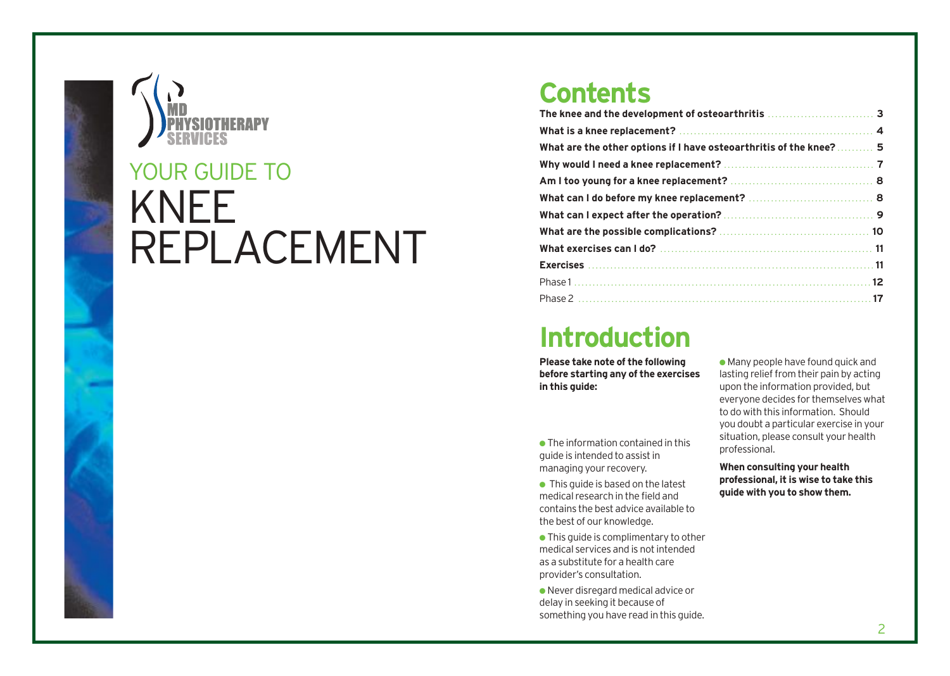

# KNEE REPLACEMENT YOUR GUIDE TO

### **Contents**

| What are the other options if I have osteoarthritis of the knee? 5 |  |  |  |
|--------------------------------------------------------------------|--|--|--|
|                                                                    |  |  |  |
|                                                                    |  |  |  |
|                                                                    |  |  |  |
|                                                                    |  |  |  |
|                                                                    |  |  |  |
|                                                                    |  |  |  |

## **Introduction**

**Please take note of the following before starting any of the exercises in this guide:**

- $\bullet$  The information contained in this guide is intended to assist in managing your recovery.
- $\bullet$  This guide is based on the latest medical research in the field and contains the best advice available to the best of our knowledge.
- This guide is complimentary to other medical services and is not intended as a substitute for a health care provider's consultation.

● Never disregard medical advice or delay in seeking it because of something you have read in this guide.

 $\bullet$  Many people have found quick and lasting relief from their pain by acting upon the information provided, but everyone decides for themselves what to do with this information. Should you doubt a particular exercise in your situation, please consult your health professional.

**When consulting your health professional, it is wise to take this guide with you to show them.**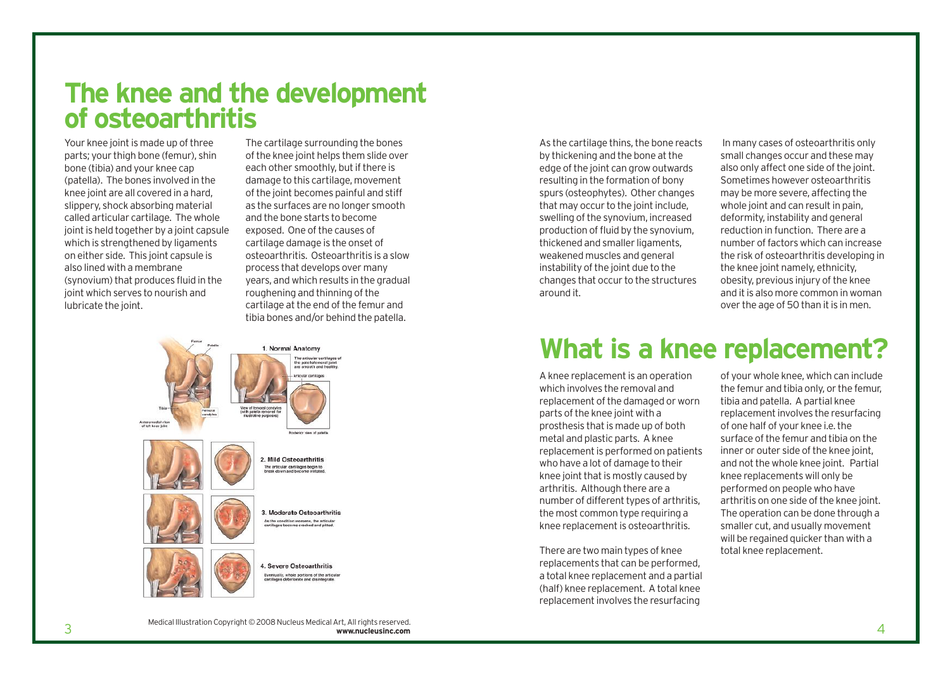## **The knee and the development of osteoarthritis**

Your knee joint is made up of three parts; your thigh bone (femur), shin bone (tibia) and your knee cap (patella). The bones involved in the knee joint are all covered in a hard, slippery, shock absorbing material called articular cartilage. The whole joint is held together by a joint capsule which is strengthened by ligaments on either side. This joint capsule is also lined with a membrane (synovium) that produces fluid in the joint which serves to nourish and lubricate the joint.

The cartilage surrounding the bones of the knee joint helps them slide over each other smoothly, but if there is damage to this cartilage, movement of the joint becomes painful and stiff as the surfaces are no longer smooth and the bone starts to become exposed. One of the causes of cartilage damage is the onset of osteoarthritis. Osteoarthritis is a slow process that develops over many years, and which results in the gradual roughening and thinning of the cartilage at the end of the femur and tibia bones and/or behind the patella.



As the cartilage thins, the bone reacts by thickening and the bone at the edge of the joint can grow outwards resulting in the formation of bony spurs (osteophytes). Other changes that may occur to the joint include, swelling of the synovium, increased production of fluid by the synovium, thickened and smaller ligaments, weakened muscles and general instability of the joint due to the changes that occur to the structures around it.

In many cases of osteoarthritis only small changes occur and these may also only affect one side of the joint. Sometimes however osteoarthritis may be more severe, affecting the whole joint and can result in pain. deformity, instability and general reduction in function. There are a number of factors which can increase the risk of osteoarthritis developing in the knee joint namely, ethnicity, obesity, previous injury of the knee and it is also more common in woman over the age of 50 than it is in men.

## **What is a knee replacement?**

A knee replacement is an operation which involves the removal and replacement of the damaged or worn parts of the knee joint with a prosthesis that is made up of both metal and plastic parts. A knee replacement is performed on patients who have a lot of damage to their knee joint that is mostly caused by arthritis. Although there are a number of different types of arthritis, the most common type requiring a knee replacement is osteoarthritis.

There are two main types of knee replacements that can be performed, a total knee replacement and a partial (half) knee replacement. A total knee replacement involves the resurfacing

of your whole knee, which can include the femur and tibia only, or the femur, tibia and patella. A partial knee replacement involves the resurfacing of one half of your knee i.e. the surface of the femur and tibia on the inner or outer side of the knee joint, and not the whole knee joint. Partial knee replacements will only be performed on people who have arthritis on one side of the knee joint. The operation can be done through a smaller cut, and usually movement will be regained quicker than with a total knee replacement.

 $\frac{3}{3}$ Medical Illustration Copyright © 2008 Nucleus Medical Art, All rights reserved. **www.nucleusinc.com**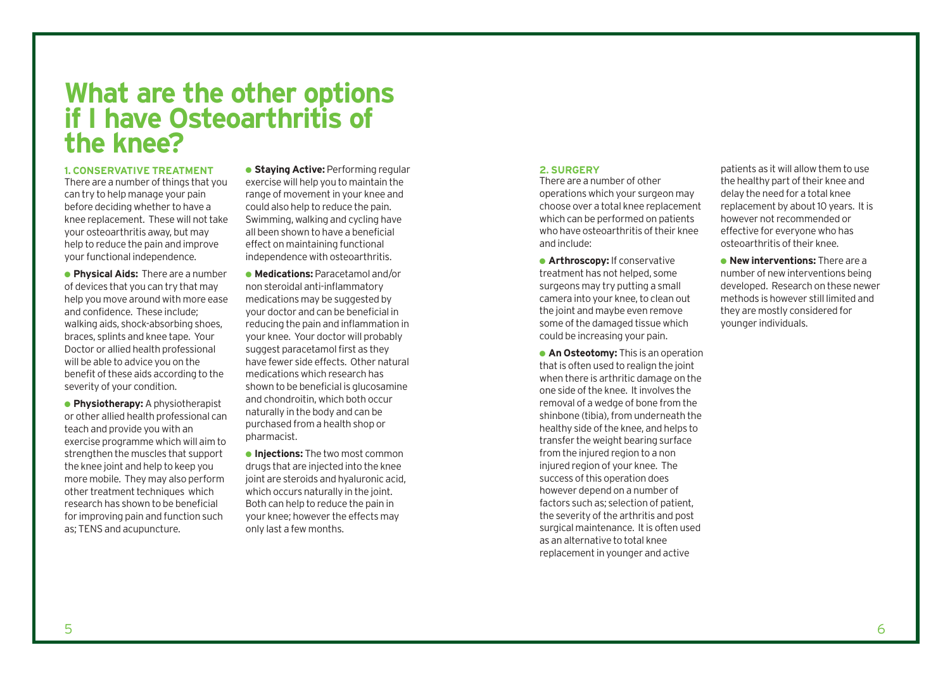### **What are the other options if I have Osteoarthritis of the knee?**

#### **1. CONSERVATIVE TREATMENT**

There are a number of things that you can try to help manage your pain before deciding whether to have a knee replacement. These will not take your osteoarthritis away, but may help to reduce the pain and improve your functional independence.

● **Physical Aids:** There are a number of devices that you can try that may help you move around with more ease and confidence. These include; walking aids, shock-absorbing shoes, braces, splints and knee tape. Your Doctor or allied health professional will be able to advice you on the benefit of these aids according to the severity of your condition.

● **Physiotherapy:** A physiotherapist or other allied health professional can teach and provide you with an exercise programme which will aim to strengthen the muscles that support the knee joint and help to keep you more mobile. They may also perform other treatment techniques which research has shown to be beneficial for improving pain and function such as; TENS and acupuncture.

**• Staving Active: Performing regular** exercise will help you to maintain the range of movement in your knee and could also help to reduce the pain. Swimming, walking and cycling have all been shown to have a beneficial effect on maintaining functional independence with osteoarthritis.

● **Medications:** Paracetamol and/or non steroidal anti-inflammatory medications may be suggested by your doctor and can be beneficial in reducing the pain and inflammation in your knee. Your doctor will probably suggest paracetamol first as they have fewer side effects. Other natural medications which research has shown to be beneficial is glucosamine and chondroitin, which both occur naturally in the body and can be purchased from a health shop or pharmacist.

● **Injections:** The two most common drugs that are injected into the knee joint are steroids and hyaluronic acid, which occurs naturally in the joint. Both can help to reduce the pain in your knee; however the effects may only last a few months.

### **2. SURGERY**

There are a number of other operations which your surgeon may choose over a total knee replacement which can be performed on patients who have osteoarthritis of their knee and include:

● **Arthroscopy:** If conservative treatment has not helped, some surgeons may try putting a small camera into your knee, to clean out the joint and maybe even remove some of the damaged tissue which could be increasing your pain.

**• An Osteotomy:** This is an operation that is often used to realign the joint when there is arthritic damage on the one side of the knee. It involves the removal of a wedge of bone from the shinbone (tibia), from underneath the healthy side of the knee, and helps to transfer the weight bearing surface from the injured region to a non injured region of your knee. The success of this operation does however depend on a number of factors such as; selection of patient, the severity of the arthritis and post surgical maintenance. It is often used as an alternative to total knee replacement in younger and active

patients as it will allow them to use the healthy part of their knee and delay the need for a total knee replacement by about 10 years. It is however not recommended or effective for everyone who has osteoarthritis of their knee.

● **New interventions:** There are a number of new interventions being developed. Research on these newer methods is however still limited and they are mostly considered for younger individuals.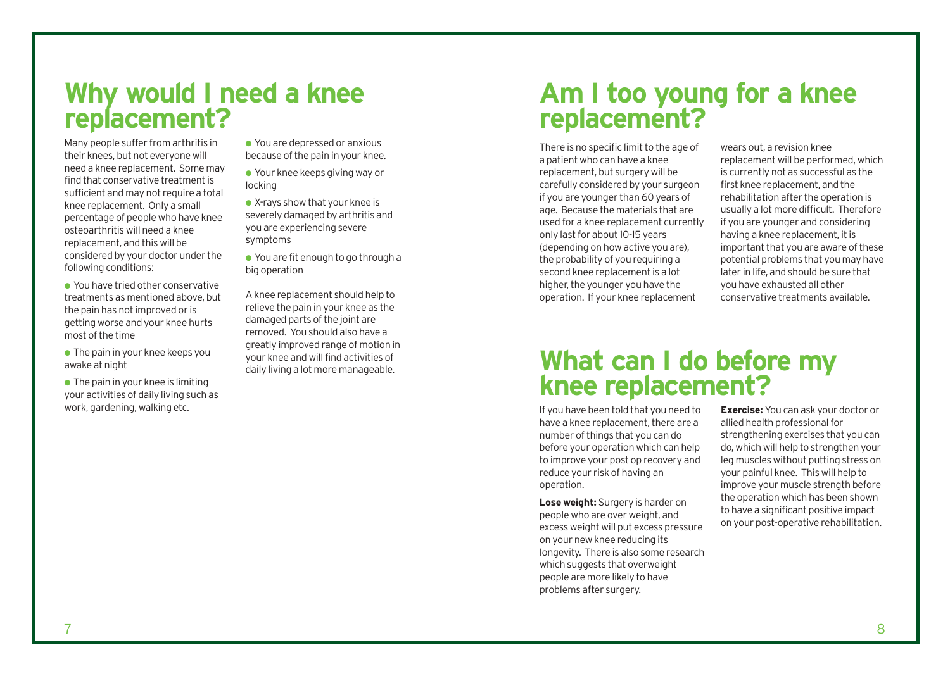### **Why would I need a knee replacement?**

Many people suffer from arthritis in their knees, but not everyone will need a knee replacement. Some may find that conservative treatment is sufficient and may not require a total knee replacement. Only a small percentage of people who have knee osteoarthritis will need a knee replacement, and this will be considered by your doctor under the following conditions:

- You have tried other conservative treatments as mentioned above, but the pain has not improved or is getting worse and your knee hurts most of the time
- $\bullet$  The pain in your knee keeps you awake at night
- $\bullet$  The pain in your knee is limiting your activities of daily living such as work, gardening, walking etc.
- You are depressed or anxious because of the pain in your knee.
- Your knee keeps giving way or locking
- X-rays show that your knee is severely damaged by arthritis and you are experiencing severe symptoms
- You are fit enough to go through a big operation

A knee replacement should help to relieve the pain in your knee as the damaged parts of the joint are removed. You should also have a greatly improved range of motion in your knee and will find activities of daily living a lot more manageable.

## **Am I too young for a knee replacement?**

There is no specific limit to the age of a patient who can have a knee replacement, but surgery will be carefully considered by your surgeon if you are younger than 60 years of age. Because the materials that are used for a knee replacement currently only last for about 10-15 years (depending on how active you are), the probability of you requiring a second knee replacement is a lot higher, the younger you have the operation. If your knee replacement

wears out, a revision knee replacement will be performed, which is currently not as successful as the first knee replacement, and the rehabilitation after the operation is usually a lot more difficult. Therefore if you are younger and considering having a knee replacement, it is important that you are aware of these potential problems that you may have later in life, and should be sure that you have exhausted all other conservative treatments available.

### **What can I do before my knee replacement?**

If you have been told that you need to have a knee replacement, there are a number of things that you can do before your operation which can help to improve your post op recovery and reduce your risk of having an operation.

**Lose weight:** Surgery is harder on people who are over weight, and excess weight will put excess pressure on your new knee reducing its longevity. There is also some research which suggests that overweight people are more likely to have problems after surgery.

**Exercise:** You can ask your doctor or allied health professional for strengthening exercises that you can do, which will help to strengthen your leg muscles without putting stress on your painful knee. This will help to improve your muscle strength before the operation which has been shown to have a significant positive impact on your post-operative rehabilitation.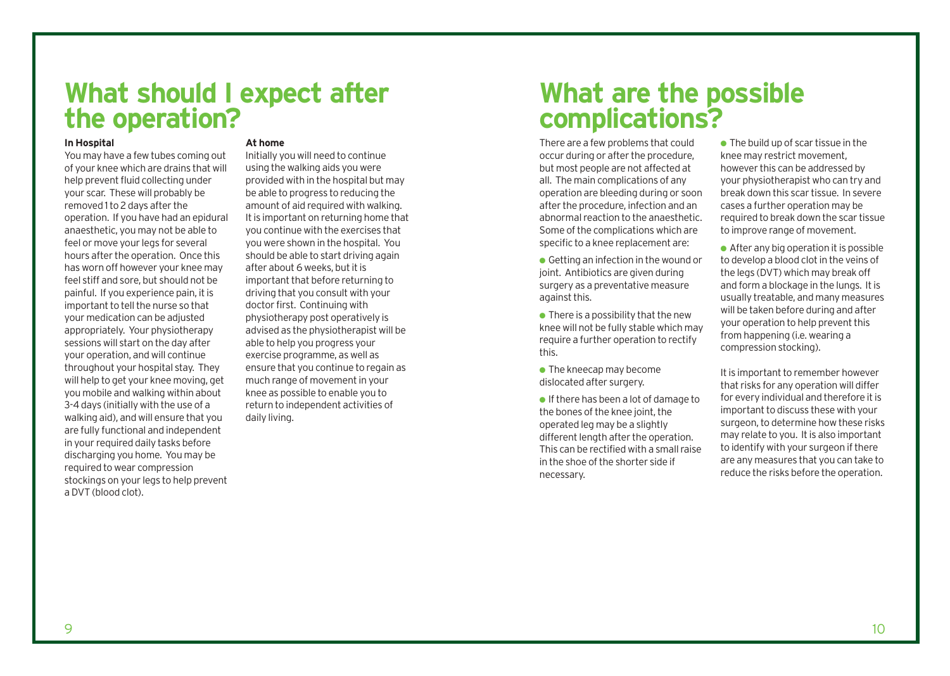### **What should I expect after the operation?**

#### **In Hospital**

You may have a few tubes coming out of your knee which are drains that will help prevent fluid collecting under your scar. These will probably be removed 1 to 2 days after the operation. If you have had an epidural anaesthetic, you may not be able to feel or move your legs for several hours after the operation. Once this has worn off however your knee may feel stiff and sore, but should not be painful. If you experience pain, it is important to tell the nurse so that your medication can be adjusted appropriately. Your physiotherapy sessions will start on the day after your operation, and will continue throughout your hospital stay. They will help to get your knee moving, get you mobile and walking within about 3-4 days (initially with the use of a walking aid), and will ensure that you are fully functional and independent in your required daily tasks before discharging you home. You may be required to wear compression stockings on your legs to help prevent a DVT (blood clot).

### **At home**

Initially you will need to continue using the walking aids you were provided with in the hospital but may be able to progress to reducing the amount of aid required with walking. It is important on returning home that you continue with the exercises that you were shown in the hospital. You should be able to start driving again after about 6 weeks, but it is important that before returning to driving that you consult with your doctor first. Continuing with physiotherapy post operatively is advised as the physiotherapist will be able to help you progress your exercise programme, as well as ensure that you continue to regain as much range of movement in your knee as possible to enable you to return to independent activities of daily living.

## **What are the possible complications?**

There are a few problems that could occur during or after the procedure, but most people are not affected at all. The main complications of any operation are bleeding during or soon after the procedure, infection and an abnormal reaction to the anaesthetic. Some of the complications which are specific to a knee replacement are:

- Getting an infection in the wound or joint. Antibiotics are given during surgery as a preventative measure against this.
- $\bullet$  There is a possibility that the new knee will not be fully stable which may require a further operation to rectify this.
- $\bullet$  The kneecap may become dislocated after surgery.

● If there has been a lot of damage to the bones of the knee joint, the operated leg may be a slightly different length after the operation. This can be rectified with a small raise in the shoe of the shorter side if necessary.

 $\bullet$  The build up of scar tissue in the knee may restrict movement, however this can be addressed by your physiotherapist who can try and break down this scar tissue. In severe cases a further operation may be required to break down the scar tissue to improve range of movement.

● After any big operation it is possible to develop a blood clot in the veins of the legs (DVT) which may break off and form a blockage in the lungs. It is usually treatable, and many measures will be taken before during and after your operation to help prevent this from happening (i.e. wearing a compression stocking).

It is important to remember however that risks for any operation will differ for every individual and therefore it is important to discuss these with your surgeon, to determine how these risks may relate to you. It is also important to identify with your surgeon if there are any measures that you can take to reduce the risks before the operation.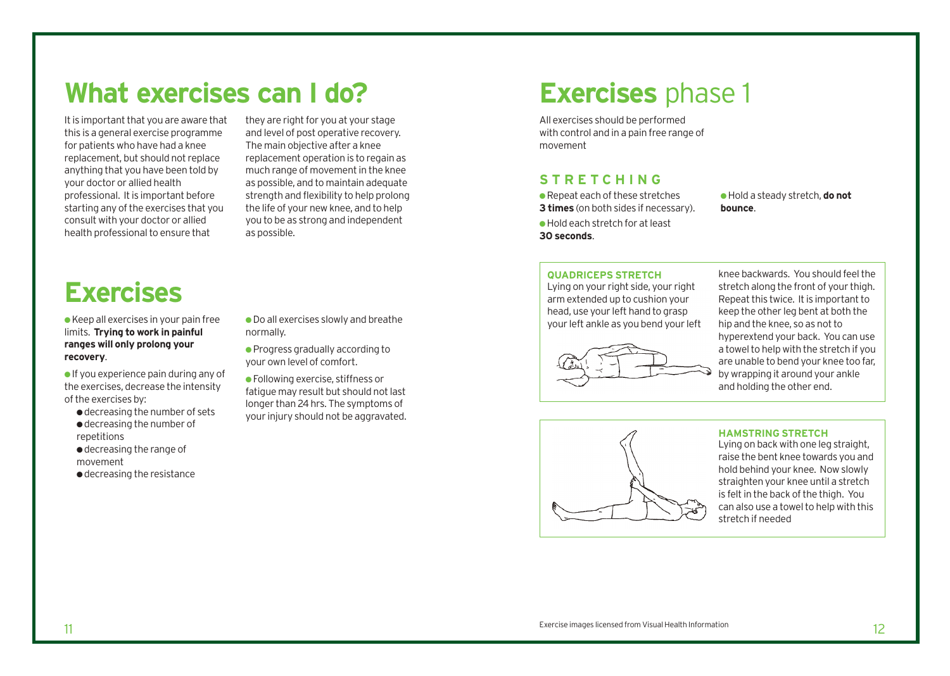## **What exercises can I do?**

It is important that you are aware that this is a general exercise programme for patients who have had a knee replacement, but should not replace anything that you have been told by your doctor or allied health professional. It is important before starting any of the exercises that you consult with your doctor or allied health professional to ensure that

they are right for you at your stage and level of post operative recovery. The main objective after a knee replacement operation is to regain as much range of movement in the knee as possible, and to maintain adequate strength and flexibility to help prolong the life of your new knee, and to help you to be as strong and independent as possible.

# **Exercises**

● Keep all exercises in your pain free limits. **Trying to work in painful ranges will only prolong your recovery**.

 $\bullet$  If you experience pain during any of the exercises, decrease the intensity of the exercises by:

● decreasing the number of sets ● decreasing the number of repetitions

● decreasing the range of

movement

● decreasing the resistance

● Do all exercises slowly and breathe normally.

● Progress gradually according to your own level of comfort.

● Following exercise, stiffness or fatigue may result but should not last longer than 24 hrs. The symptoms of your injury should not be aggravated.

## **Exercises** phase 1

All exercises should be performed with control and in a pain free range of movement

### **STRETCHING**

● Repeat each of these stretches **3 times** (on both sides if necessary).

● Hold each stretch for at least **30 seconds**.

● Hold a steady stretch, **do not bounce**.

### **QUADRICEPS STRETCH**

Lying on your right side, your right arm extended up to cushion your head, use your left hand to grasp your left ankle as you bend your left



knee backwards. You should feel the stretch along the front of your thigh. Repeat this twice. It is important to keep the other leg bent at both the hip and the knee, so as not to hyperextend your back. You can use a towel to help with the stretch if you are unable to bend your knee too far, by wrapping it around your ankle and holding the other end.



#### **HAMSTRING STRETCH**

Lying on back with one leg straight, raise the bent knee towards you and hold behind your knee. Now slowly straighten your knee until a stretch is felt in the back of the thigh. You can also use a towel to help with this stretch if needed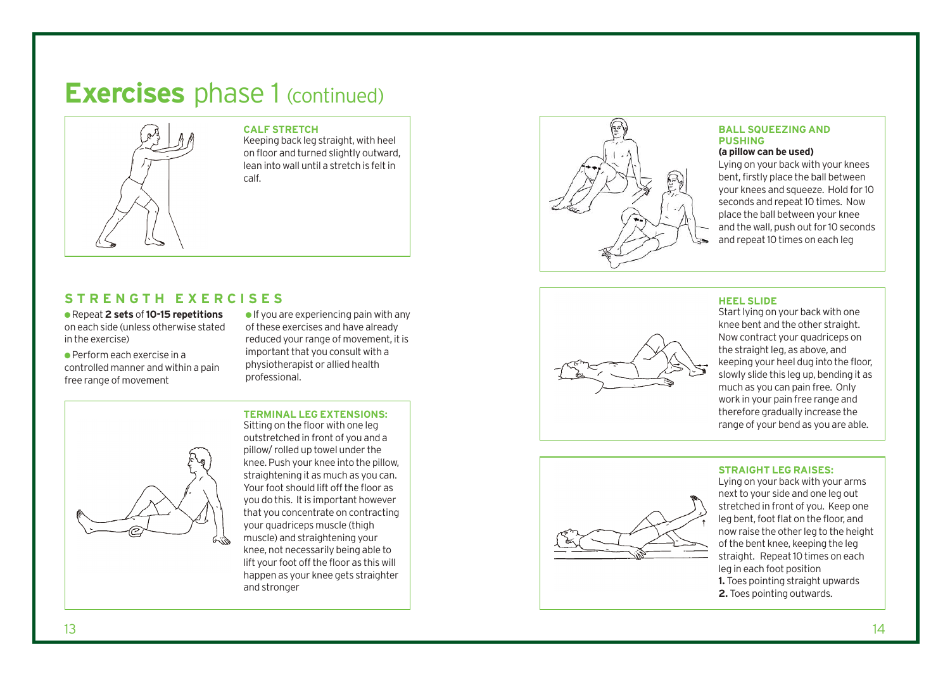## **Exercises** phase 1 (continued)



### **CALF STRETCH**

Keeping back leg straight, with heel on floor and turned slightly outward, lean into wall until a stretch is felt in calf.

### **STRENGTH EXERCISES**

● Repeat **2 sets** of **10-15 repetitions** on each side (unless otherwise stated in the exercise)

 $\bullet$  Perform each exercise in a controlled manner and within a pain free range of movement

 $\bullet$  If you are experiencing pain with any of these exercises and have already reduced your range of movement, it is important that you consult with a physiotherapist or allied health pr o fessional.

### **TERMINAL LEG EXTENSIONS:**



Sitting on the floor with one leg out str e tched in front of you and a pillow/ rolled up towel under the knee. Push your knee into the pillow, straightening it as much as you can. Your foot should lift off the floor as you do this. It is important however that you concentrate on contracting your quadriceps muscle (thigh muscle) and straightening your knee, not necessarily being able to lift your foot off the floor as this will happen as your knee gets straighter and stronger



### **BALL SQUEEZING AND**

### (a pillow can be used)

Lying on your back with your knees bent, firstly place the ball between your knees and squeeze. Hold for 10 seconds and repeat 10 times. Now place the ball between your knee and the wall, push out for 10 seconds and repeat 10 times on each leg



### **HEEL SLIDE**

Start lying on your back with one knee bent and the other straight. Now contract your quadriceps on the straight leg, as above, and keeping your heel dug into the floor, slowly slide this leg up, bending it as much as you can pain free. Only work in your pain free range and ther e fore gradually increase the range of your bend as you are able.



### **STRAIGHT LEG RAISES:**

Lying on your back with your arms next to your side and one leg out stretched in front of you. Keep one leg ben t, foot flat on the floor, and now raise the other leg to the height of the bent knee, keeping the leg straight. Repeat 10 times on each leg in each foot position **1.**  Toes pointing straight upwards 2. Toes pointing outwards.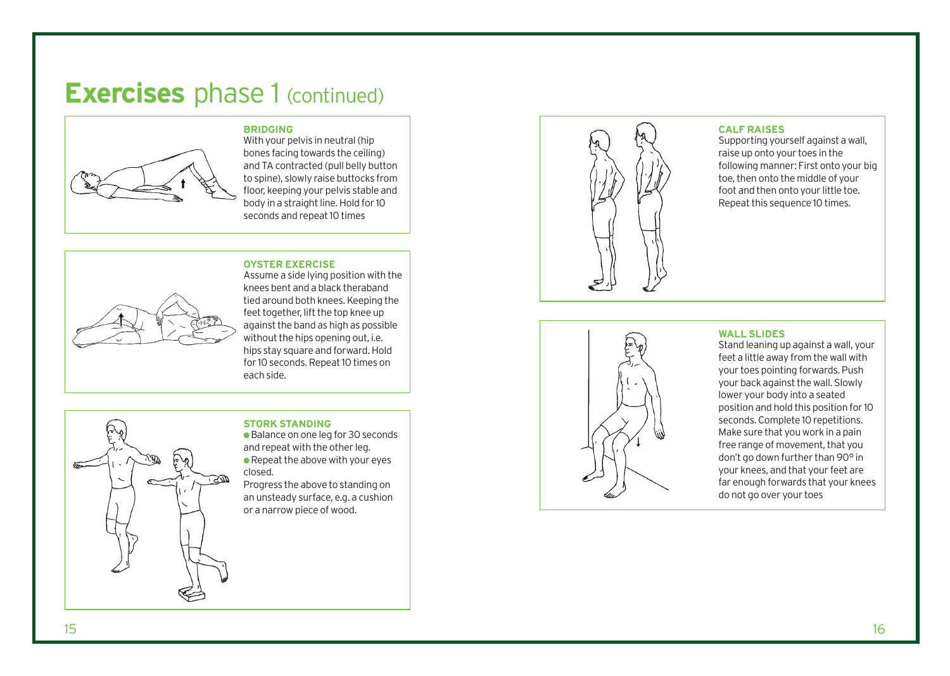## **Exercises** phase 1 (continued)



With your pelvis in neutral (hip bones facing towards the ceiling) and TA contracted (pull belly button to spine), slowly raise buttocks from floor, keeping your pelvis stable and body in a straight line. Hold for 10 seconds and repeat 10 times

#### **OYSTER EXERCISE**

**BRIDGING** 



Assume a side lying position with the knees bent and a black theraband tied around both knees. Keeping the feet together, lift the top knee up against the band as high as possible without the hips opening out, i.e. hips stay square and forward. Hold for 10 seconds. Repeat 10 times on each side.

### **STORK STANDING**

● Balance on one leg for 30 seconds and repeat with the other leg.  $\bullet$  Repeat the above with your eyes closed.

Progress the above to standing on an unsteady surface, e.g. a cushion or a narrow piece of wood.



#### **CALF RAISES**

Supporting yourself against a wall, raise up onto your toes in the following manner: First onto your big toe, then onto the middle of your foot and then onto your little toe. Repeat this sequence 10 times.



### **WALL SLIDES**

Stand leaning up against a wall, your feet a little away from the wall with your toes pointing forwards. Push your back against the wall. Slowly lower your body into a seated position and hold this position for 10 seconds. Complete 10 repetitions. Make sure that you work in a pain free range of movement, that you don't go down further than 90° in your knees, and that your feet are far enough forwards that your knees do not go over your toes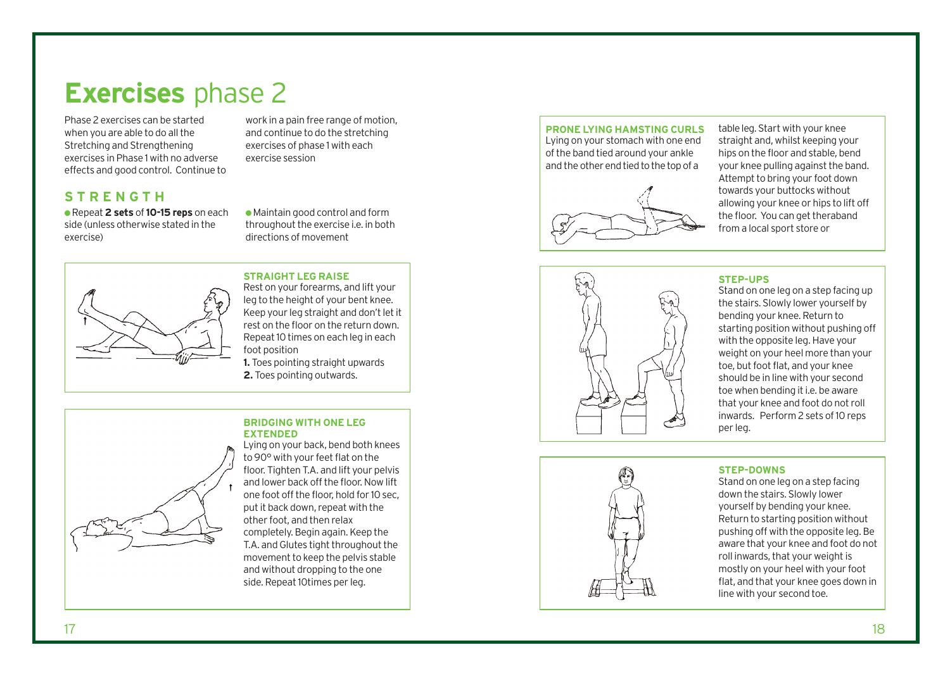## **Exercises** phase 2

Phase 2 exercises can be started when you are able to do all the Stretching and Strengthening exercises in Phase 1 with no adverse effects and good control. Continue to

### **STRENGTH**

● Repeat **2 sets** of **10-15 reps** on each side (unless otherwise stated in the exercise)

work in a pain free range of motion, and continue to do the stretching exercises of phase 1 with each exercise session

● Maintain good control and form throughout the exercise i.e. in both directions of movement

### **STRAIGHT LEG RAISE**

Rest on your forearms, and lift your leg to the height of your bent knee. Keep your leg straight and don't let it rest on the floor on the return down. Repeat 10 times on each leg in each foot position **1.** Toes pointing straight upwards **2.** Toes pointing outwards.

**BRIDGING WITH ONE LEG EXTENDED**



Lying on your back, bend both knees to 90° with your feet flat on the floor. Tighten T.A. and lift your pelvis and lower back off the floor. Now lift one foot off the floor, hold for 10 sec, put it back down, repeat with the other foot, and then relax completely. Begin again. Keep the T.A. and Glutes tight throughout the movement to keep the pelvis stable and without dropping to the one side. Repeat 10times per leg.

#### **PRONE LYING HAMSTING CURLS** Lying on your stomach with one end

of the band tied around your ankle and the other end tied to the top of a



table leg. Start with your knee straight and, whilst keeping your hips on the floor and stable, bend your knee pulling against the band. Attempt to bring your foot down towards your buttocks without allowing your knee or hips to lift off the floor. You can get theraband from a local sport store or



### **STEP-UPS**

Stand on one leg on a step facing up the stairs. Slowly lower yourself by bending your knee. Return to starting position without pushing off with the opposite leg. Have your weight on your heel more than your toe, but foot flat, and your knee should be in line with your second toe when bending it i.e. be aware that your knee and foot do not roll inwards. Perform 2 sets of 10 reps per leg.

### **STEP-DOWNS**

Stand on one leg on a step facing down the stairs. Slowly lower yourself by bending your knee. Return to starting position without pushing off with the opposite leg. Be aware that your knee and foot do not roll inwards, that your weight is mostly on your heel with your foot flat, and that your knee goes down in line with your second toe.